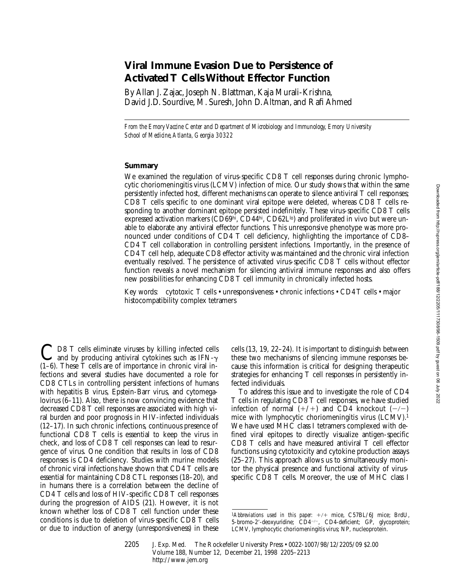# **Viral Immune Evasion Due to Persistence of Activated T Cells Without Effector Function**

By Allan J. Zajac, Joseph N. Blattman, Kaja Murali-Krishna, David J.D. Sourdive, M. Suresh, John D. Altman, and Rafi Ahmed

*From the Emory Vaccine Center and Department of Microbiology and Immunology, Emory University School of Medicine, Atlanta, Georgia 30322*

#### **Summary**

We examined the regulation of virus-specific CD8 T cell responses during chronic lymphocytic choriomeningitis virus (LCMV) infection of mice. Our study shows that within the same persistently infected host, different mechanisms can operate to silence antiviral T cell responses; CD8 T cells specific to one dominant viral epitope were deleted, whereas CD8 T cells responding to another dominant epitope persisted indefinitely. These virus-specific CD8 T cells expressed activation markers (CD69hi, CD44hi, CD62L<sup>lo</sup>) and proliferated in vivo but were unable to elaborate any antiviral effector functions. This unresponsive phenotype was more pronounced under conditions of CD4 T cell deficiency, highlighting the importance of CD8– CD4 T cell collaboration in controlling persistent infections. Importantly, in the presence of CD4 T cell help, adequate CD8 effector activity was maintained and the chronic viral infection eventually resolved. The persistence of activated virus-specific CD8 T cells without effector function reveals a novel mechanism for silencing antiviral immune responses and also offers new possibilities for enhancing CD8 T cell immunity in chronically infected hosts.

Key words: cytotoxic T cells • unresponsiveness • chronic infections • CD4 T cells • major histocompatibility complex tetramers

 $\sum$  D8 T cells eliminate viruses by killing infected cells<br>and by producing antiviral cytokines such as IFN- $\gamma$ <br>(1.6) These T cells are of impactness in changie sind in (1–6). These T cells are of importance in chronic viral infections and several studies have documented a role for CD8 CTLs in controlling persistent infections of humans with hepatitis B virus, Epstein-Barr virus, and cytomegalovirus (6–11). Also, there is now convincing evidence that decreased CD8 T cell responses are associated with high viral burden and poor prognosis in HIV-infected individuals (12–17). In such chronic infections, continuous presence of functional CD8 T cells is essential to keep the virus in check, and loss of CD8 T cell responses can lead to resurgence of virus. One condition that results in loss of CD8 responses is CD4 deficiency. Studies with murine models of chronic viral infections have shown that CD4 T cells are essential for maintaining CD8 CTL responses (18–20), and in humans there is a correlation between the decline of CD4 T cells and loss of HIV-specific CD8 T cell responses during the progression of AIDS (21). However, it is not known whether loss of CD8 T cell function under these conditions is due to deletion of virus-specific CD8 T cells or due to induction of anergy (unresponsiveness) in these

cells (13, 19, 22–24). It is important to distinguish between these two mechanisms of silencing immune responses because this information is critical for designing therapeutic strategies for enhancing T cell responses in persistently infected individuals.

To address this issue and to investigate the role of CD4 T cells in regulating CD8 T cell responses, we have studied infection of normal  $(+/+)$  and CD4 knockout  $(-/-)$ mice with lymphocytic choriomeningitis virus (LCMV).1 We have used MHC class I tetramers complexed with defined viral epitopes to directly visualize antigen-specific CD8 T cells and have measured antiviral T cell effector functions using cytotoxicity and cytokine production assays (25–27). This approach allows us to simultaneously monitor the physical presence and functional activity of virusspecific CD8 T cells. Moreover, the use of MHC class I

<sup>&</sup>lt;sup>1</sup>Abbreviations used in this paper:  $+/+$  mice, C57BL/6J mice; BrdU, 5-bromo-2'-deoxyuridine;  $\overrightarrow{CD4}$ <sup>-/-</sup>, CD4-deficient; GP, glycoprotein; LCMV, lymphocytic choriomeningitis virus; NP, nucleoprotein.

<sup>2205</sup> J. Exp. Med. The Rockefeller University Press • 0022-1007/98/12/2205/09 \$2.00 Volume 188, Number 12, December 21, 1998 2205–2213 http://www.jem.org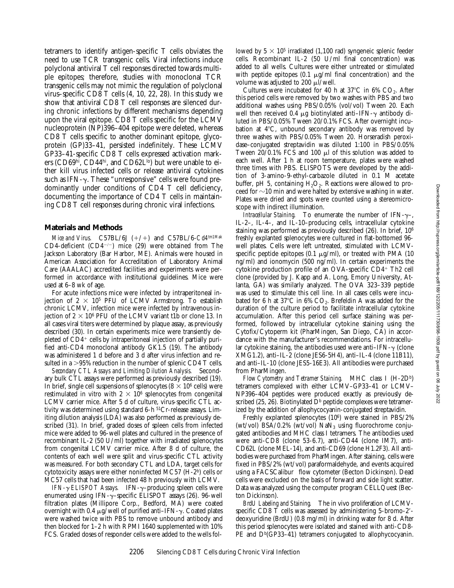tetramers to identify antigen-specific T cells obviates the need to use TCR transgenic cells. Viral infections induce polyclonal antiviral T cell responses directed towards multiple epitopes; therefore, studies with monoclonal TCR transgenic cells may not mimic the regulation of polyclonal virus–specific CD8 T cells (4, 10, 22, 28). In this study we show that antiviral CD8 T cell responses are silenced during chronic infections by different mechanisms depending upon the viral epitope. CD8 T cells specific for the LCMV nucleoprotein (NP)396–404 epitope were deleted, whereas CD8 T cells specific to another dominant epitope, glycoprotein (GP)33–41, persisted indefinitely. These LCMV GP33–41-specific CD8 T cells expressed activation markers (CD69hi, CD44hi, and CD62Llo) but were unable to either kill virus infected cells or release antiviral cytokines such as IFN- $\gamma$ . These "unresponsive" cells were found predominantly under conditions of CD4 T cell deficiency, documenting the importance of CD4 T cells in maintaining CD8 T cell responses during chronic viral infections.

#### **Materials and Methods**

*Mice and Virus.* C57BL/6J  $(+/+)$  and C57BL/6-*Cd4tm1Mak* CD4-deficient  $(CD4^{-/-})$  mice (29) were obtained from The Jackson Laboratory (Bar Harbor, ME). Animals were housed in American Association for Accreditation of Laboratory Animal Care (AAALAC) accredited facilities and experiments were performed in accordance with institutional guidelines. Mice were used at 6–8 wk of age.

For acute infections mice were infected by intraperitoneal injection of  $2 \times 10^5$  PFU of LCMV Armstrong. To establish chronic LCMV, infection mice were infected by intravenous injection of  $2 \times 10^6$  PFU of the LCMV variant t1b or clone 13. In all cases viral titers were determined by plaque assay, as previously described (30). In certain experiments mice were transiently depleted of  $CD4^+$  cells by intraperitoneal injection of partially purified anti-CD4 monoclonal antibody GK1.5 (19). The antibody was administered 1 d before and 3 d after virus infection and resulted in a  $>95\%$  reduction in the number of splenic CD4 T cells.

*Secondary CTL Assays and Limiting Dilution Analysis.* Secondary bulk CTL assays were performed as previously described (19). In brief, single cell suspensions of splenocytes  $(8 \times 10^6 \text{ cells})$  were restimulated in vitro with  $2 \times 10^6$  splenocytes from congenital LCMV carrier mice. After 5 d of culture, virus-specific CTL activity was determined using standard 6-h 51Cr-release assays. Limiting dilution analysis (LDA) was also performed as previously described (31). In brief, graded doses of spleen cells from infected mice were added to 96-well plates and cultured in the presence of recombinant IL-2 (50 U/ml) together with irradiated splenocytes from congenital LCMV carrier mice. After 8 d of culture, the contents of each well were split and virus-specific CTL activity was measured. For both secondary CTL and LDA, target cells for cytotoxicity assays were either noninfected MC57 (H-2b) cells or MC57 cells that had been infected 48 h previously with LCMV.

*IFN-*g *ELISPOT Assays.* IFN-g–producing spleen cells were enumerated using IFN- $\gamma$ –specific ELISPOT assays (26). 96-well filtration plates (Millipore Corp., Bedford, MA) were coated overnight with 0.4  $\mu$ g/well of purified anti–IFN- $\gamma$ . Coated plates were washed twice with PBS to remove unbound antibody and then blocked for 1–2 h with RPMI 1640 supplemented with 10% FCS. Graded doses of responder cells were added to the wells fol-

lowed by  $5 \times 10^5$  irradiated (1,100 rad) syngeneic splenic feeder cells. Recombinant IL-2 (50 U/ml final concentration) was added to all wells. Cultures were either untreated or stimulated with peptide epitopes  $(0.1 \mu g/ml)$  final concentration) and the volume was adjusted to 200  $\mu$ I/well.

Cultures were incubated for 40 h at  $37^{\circ}$ C in 6% CO<sub>2</sub>. After this period cells were removed by two washes with PBS and two additional washes using PBS/0.05% (vol/vol) Tween 20. Each well then received 0.4  $\mu$ g biotinylated anti-IFN- $\gamma$  antibody diluted in PBS/0.05% Tween 20/0.1% FCS. After overnight incubation at  $4^{\circ}$ C, unbound secondary antibody was removed by three washes with PBS/0.05% Tween 20. Horseradish peroxidase–conjugated streptavidin was diluted 1:100 in PBS/0.05% Tween  $20/0.1\%$  FCS and 100  $\mu$ l of this solution was added to each well. After 1 h at room temperature, plates were washed three times with PBS. ELISPOTS were developed by the addition of 3-amino-9-ethyl-carbazole diluted in 0.1 M acetate buffer, pH 5, containing  $H_2O_2$ . Reactions were allowed to proceed for  $\sim$ 10 min and were halted by extensive washing in water. Plates were dried and spots were counted using a stereomicroscope with indirect illumination.

*Intracellular Staining.* To enumerate the number of IFN-γ-, IL-2–, IL-4–, and IL-10–producing cells, intracellular cytokine staining was performed as previously described (26). In brief, 106 freshly explanted splenocytes were cultured in flat-bottomed 96 well plates. Cells were left untreated, stimulated with LCMVspecific peptide epitopes  $(0.1 \mu g/ml)$ , or treated with PMA (10) ng/ml) and ionomycin (500 ng/ml). In certain experiments the cytokine production profile of an OVA-specific CD4+ Th2 cell clone (provided by J. Kapp and A. Long, Emory University, Atlanta, GA) was similarly analyzed. The OVA 323–339 peptide was used to stimulate this cell line. In all cases cells were incubated for 6 h at 37 $^{\circ}$ C in 6% CO<sub>2</sub>. Brefeldin A was added for the duration of the culture period to facilitate intracellular cytokine accumulation. After this period cell surface staining was performed, followed by intracellular cytokine staining using the Cytofix/Cytoperm kit (PharMingen, San Diego, CA) in accordance with the manufacturer's recommendations. For intracellular cytokine staining, the antibodies used were anti-IFN- $\gamma$  (clone XMG1.2), anti–IL-2 (clone JES6-5H4), anti–IL-4 (clone 11B11), and anti–IL-10 (clone JES5-16E3). All antibodies were purchased from PharMingen.

*Flow Cytometry and Tetramer Staining.* MHC class I (H-2Db) tetramers complexed with either LCMV–GP33–41 or LCMV– NP396–404 peptides were produced exactly as previously described (25, 26). Biotinylated D<sup>b</sup> peptide complexes were tetramerized by the addition of allophycocyanin-conjugated streptavidin.

Freshly explanted splenocytes (106) were stained in PBS/2% (wt/vol) BSA/0.2% (wt/vol)  $\text{Na}\text{N}_3$  using fluorochrome conjugated antibodies and MHC class I tetramers. The antibodies used were anti-CD8 (clone 53-6.7), anti-CD44 (clone IM7), anti-CD62L (clone MEL-14), and anti-CD69 (clone H1.2F3). All antibodies were purchased from PharMingen. After staining, cells were fixed in PBS/2% (wt/vol) paraformaldehyde, and events acquired using a FACSCalibur® flow cytometer (Becton Dickinson). Dead cells were excluded on the basis of forward and side light scatter. Data was analyzed using the computer program CELLQuest (Becton Dickinson).

*BrdU Labeling and Staining.* The in vivo proliferation of LCMVspecific CD8 T cells was assessed by administering 5-bromo-2'deoxyuridine (BrdU) (0.8 mg/ml) in drinking water for 8 d. After this period splenocytes were isolated and stained with anti-CD8- PE and  $D^b(GP33-41)$  tetramers conjugated to allophycocyanin.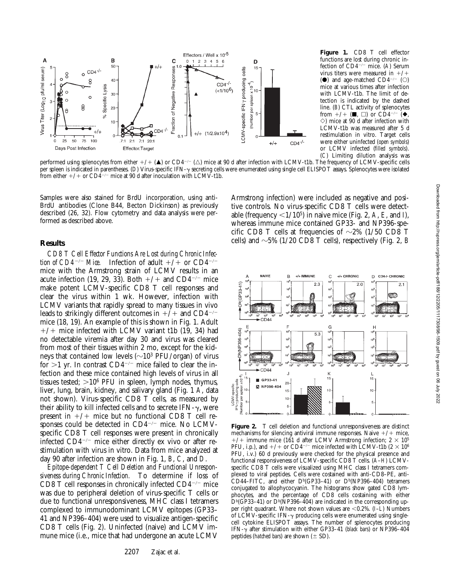

**Figure 1.** CD8 T cell effector functions are lost during chronic infection of CD4<sup>-/-</sup> mice. (A) Serum virus titers were measured in  $+/+$ ( $\bullet$ ) and age-matched CD4<sup>-/-</sup> ( $\circ$ ) mice at various times after infection with LCMV-t1b. The limit of detection is indicated by the dashed line. (*B*) CTL activity of splenocytes from  $+/+$  ( $\blacksquare$ ,  $\square$ ) or CD4<sup>-/-</sup> ( $\blacklozenge$ ,  $\Diamond$ ) mice at 90 d after infection with LCMV-t1b was measured after 5 d restimulation in vitro. Target cells were either uninfected (*open symbols*) or LCMV infected (*filled symbols*). (*C*) Limiting dilution analysis was

performed using splenocytes from either  $+/+$  ( $\triangle$ ) or CD4<sup>-/-</sup> ( $\triangle$ ) mice at 90 d after infection with LCMV-t1b. The frequency of LCMV-specific cells per spleen is indicated in parentheses. (*D*) Virus-specific IFN- $\gamma$  secreting cells were enumerated using single cell ELISPOT assays. Splenocytes were isolated from either  $+/+$  or  $CD4^{-/-}$  mice at 90 d after inoculation with LCMV-t1b.

Samples were also stained for BrdU incorporation, using anti-BrdU antibodies (Clone B44, Becton Dickinson) as previously described (26, 32). Flow cytometry and data analysis were performed as described above.

#### **Results**

*CD8 T Cell Effector Functions Are Lost during Chronic Infection of CD4<sup>-/-</sup> Mice.* Infection of adult  $+$ /+ or CD4<sup>-/-</sup> mice with the Armstrong strain of LCMV results in an acute infection (19, 29, 33). Both  $+/+$  and CD4<sup>-/-</sup> mice make potent LCMV-specific CD8 T cell responses and clear the virus within 1 wk. However, infection with LCMV variants that rapidly spread to many tissues in vivo leads to strikingly different outcomes in  $+/+$  and CD4<sup>-/-</sup> mice (18, 19). An example of this is shown in Fig. 1. Adult  $+/-$  mice infected with LCMV variant t1b (19, 34) had no detectable viremia after day 30 and virus was cleared from most of their tissues within 2 mo, except for the kidneys that contained low levels  $(\sim 10^3 \text{ PFU} / \text{organ})$  of virus for  $>1$  yr. In contrast CD4<sup>-/-</sup> mice failed to clear the infection and these mice contained high levels of virus in all tissues tested;  $>10^6$  PFU in spleen, lymph nodes, thymus, liver, lung, brain, kidney, and salivary gland (Fig. 1 *A*, data not shown). Virus-specific CD8 T cells, as measured by their ability to kill infected cells and to secrete IFN- $\gamma$ , were present in  $+/+$  mice but no functional CD8 T cell responses could be detected in  $CD4^{-/-}$  mice. No LCMVspecific CD8 T cell responses were present in chronically infected  $CD4^{-/-}$  mice either directly ex vivo or after restimulation with virus in vitro. Data from mice analyzed at day 90 after infection are shown in Fig. 1, *B*, *C*, and *D*.

*Epitope-dependent T Cell Deletion and Functional Unresponsiveness during Chronic Infection.* To determine if loss of CD8 T cell responses in chronically infected  $CD4^{-/-}$  mice was due to peripheral deletion of virus-specific T cells or due to functional unresponsiveness, MHC class I tetramers complexed to immunodominant LCMV epitopes (GP33– 41 and NP396–404) were used to visualize antigen-specific CD8 T cells (Fig. 2). Uninfected (naive) and LCMV immune mice (i.e., mice that had undergone an acute LCMV

Armstrong infection) were included as negative and positive controls. No virus-specific CD8 T cells were detectable (frequency  $\langle 1/10^5 \rangle$  in naive mice (Fig. 2, A, *E*, and *I*), whereas immune mice contained GP33- and NP396-specific CD8 T cells at frequencies of  $\sim$ 2% (1/50 CD8 T cells) and  $\sim$ 5% (1/20 CD8 T cells), respectively (Fig. 2, *B* 



**Figure 2.** T cell deletion and functional unresponsiveness are distinct mechanisms for silencing antiviral immune responses. Naive  $+/+$  mice,  $+/+$  immune mice (161 d after LCMV Armstrong infection; 2  $\times$  10<sup>5</sup> PFU, i.p.), and  $+/-$  or CD4<sup>-/-</sup> mice infected with LCMV-t1b (2  $\times$  10<sup>6</sup> PFU, i.v.) 60 d previously were checked for the physical presence and functional responsiveness of LCMV-specific CD8 T cells. (*A*–*H*) LCMVspecific CD8 T cells were visualized using MHC class I tetramers complexed to viral peptides. Cells were costained with anti-CD8–PE, anti-CD44–FITC, and either  $D^b(GP33-41)$  or  $D^b(NP396-404)$  tetramers conjugated to allophycocyanin. The histograms show gated CD8 lymphocytes, and the percentage of CD8 cells costaining with either  $D<sup>b</sup>(GP33–41)$  or  $D<sup>b</sup>(NP396–404)$  are indicated in the corresponding upper right quadrant. Where not shown values are <0.2%. (*I-L*) Numbers of LCMV-specific IFN- $\gamma$  producing cells were enumerated using singlecell cytokine ELISPOT assays. The number of splenocytes producing IFN-g after stimulation with either GP33–41 (*black bars*) or NP396–404 peptides (*hatched bars*) are shown  $(\pm SD)$ .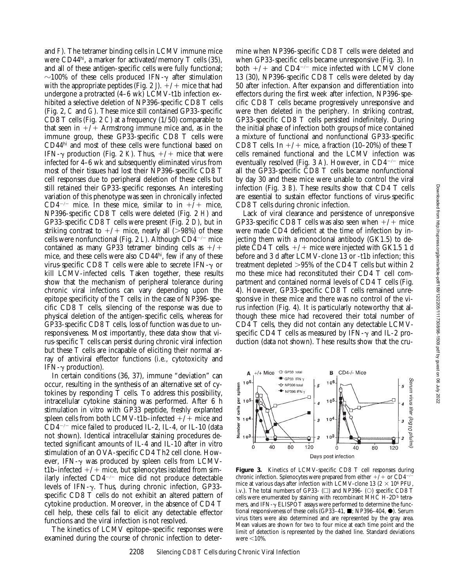and *F*). The tetramer binding cells in LCMV immune mice were CD44hi, a marker for activated/memory T cells (35), and all of these antigen-specific cells were fully functional;  $\sim$ 100% of these cells produced IFN- $\gamma$  after stimulation with the appropriate peptides (Fig. 2  $J$ ).  $+/-$  mice that had undergone a protracted (4–6 wk) LCMV-t1b infection exhibited a selective deletion of NP396-specific CD8 T cells (Fig. 2, *C* and *G*). These mice still contained GP33-specific CD8 T cells (Fig. 2 *C*) at a frequency (1/50) comparable to that seen in  $+/+$  Armstrong immune mice and, as in the immune group, these GP33-specific CD8 T cells were CD44hi and most of these cells were functional based on IFN- $\gamma$  production (Fig. 2 *K*). Thus,  $+/-$  mice that were infected for 4–6 wk and subsequently eliminated virus from most of their tissues had lost their NP396-specific CD8 T cell responses due to peripheral deletion of these cells but still retained their GP33-specific responses. An interesting variation of this phenotype was seen in chronically infected  $CD4^{-/-}$  mice. In these mice, similar to in  $+/+$  mice, NP396-specific CD8 T cells were deleted (Fig. 2 *H*) and GP33-specific CD8 T cells were present (Fig. 2 *D*), but in striking contrast to  $+/+$  mice, nearly all ( $>98\%$ ) of these cells were nonfunctional (Fig. 2 L). Although  $CD4^{-/-}$  mice contained as many GP33 tetramer binding cells as  $+/+$ mice, and these cells were also CD44hi, few if any of these virus-specific CD8 T cells were able to secrete IFN- $\gamma$  or kill LCMV-infected cells. Taken together, these results show that the mechanism of peripheral tolerance during chronic viral infections can vary depending upon the epitope specificity of the T cells; in the case of NP396-specific CD8 T cells, silencing of the response was due to physical deletion of the antigen-specific cells, whereas for GP33-specific CD8 T cells, loss of function was due to unresponsiveness. Most importantly, these data show that virus-specific T cells can persist during chronic viral infection but these T cells are incapable of eliciting their normal array of antiviral effector functions (i.e., cytotoxicity and IFN- $\gamma$  production).

In certain conditions (36, 37), immune "deviation" can occur, resulting in the synthesis of an alternative set of cytokines by responding T cells. To address this possibility, intracellular cytokine staining was performed. After 6 h stimulation in vitro with GP33 peptide, freshly explanted spleen cells from both LCMV-t1b–infected  $+/+$  mice and  $CD4^{-/-}$  mice failed to produced IL-2, IL-4, or IL-10 (data not shown). Identical intracellular staining procedures detected significant amounts of IL-4 and IL-10 after in vitro stimulation of an OVA-specific CD4 Th2 cell clone. However, IFN- $\gamma$  was produced by spleen cells from LCMVt1b–infected  $+/+$  mice, but splenocytes isolated from similarly infected  $CD4^{-/-}$  mice did not produce detectable levels of IFN- $\gamma$ . Thus, during chronic infection, GP33specific CD8 T cells do not exhibit an altered pattern of cytokine production. Moreover, in the absence of CD4 T cell help, these cells fail to elicit any detectable effector functions and the viral infection is not resolved.

The kinetics of LCMV epitope–specific responses were examined during the course of chronic infection to deter-

mine when NP396-specific CD8 T cells were deleted and when GP33-specific cells became unresponsive (Fig. 3). In both  $+/+$  and CD4<sup>-/-</sup> mice infected with LCMV clone 13 (30), NP396-specific CD8 T cells were deleted by day 50 after infection. After expansion and differentiation into effectors during the first week after infection, NP396-specific CD8 T cells became progressively unresponsive and were then deleted in the periphery. In striking contrast, GP33-specific CD8 T cells persisted indefinitely. During the initial phase of infection both groups of mice contained a mixture of functional and nonfunctional GP33-specific CD8 T cells. In  $+/+$  mice, a fraction (10–20%) of these T cells remained functional and the LCMV infection was eventually resolved (Fig. 3 A). However, in  $CD4^{-/-}$  mice all the GP33-specific CD8 T cells became nonfunctional by day 30 and these mice were unable to control the viral infection (Fig. 3 *B*). These results show that CD4 T cells are essential to sustain effector functions of virus-specific CD8 T cells during chronic infection.

Lack of viral clearance and persistence of unresponsive GP33-specific CD8 T cells was also seen when  $+/+$  mice were made CD4 deficient at the time of infection by injecting them with a monoclonal antibody (GK1.5) to deplete CD4 T cells.  $+/+$  mice were injected with GK1.5 1 d before and 3 d after LCMV-clone 13 or -t1b infection; this treatment depleted  $>95\%$  of the CD4 T cells but within 2 mo these mice had reconstituted their CD4 T cell compartment and contained normal levels of CD4 T cells (Fig. 4). However, GP33-specific CD8 T cells remained unresponsive in these mice and there was no control of the virus infection (Fig. 4). It is particularly noteworthy that although these mice had recovered their total number of CD4 T cells, they did not contain any detectable LCMVspecific CD4 T cells as measured by IFN- $\gamma$  and IL-2 production (data not shown). These results show that the cru-

**Figure 3.** Kinetics of LCMV-specific CD8 T cell responses during chronic infection. Splenocytes were prepared from either  $+\hat{i}$  or CD4<sup>-1</sup> mice at various days after infection with LCMV-clone 13 ( $2 \times 10^6$  PFU, i.v.). The total numbers of GP33-  $(\Box)$  and NP396-  $(\bigcirc)$  specific CD8 T cells were enumerated by staining with recombinant MHC  $H$ -2D<sup>b</sup> tetramers, and IFN- $\gamma$  ELISPOT assays were performed to determine the functional responsiveness of these cells (GP33-41,  $\blacksquare$ ; NP396-404,  $\bigcirc$ ). Serum virus titers were also determined and are represented by the gray area. Mean values are shown for two to four mice at each time point and the limit of detection is represented by the dashed line. Standard deviations were  $<$ 10%.

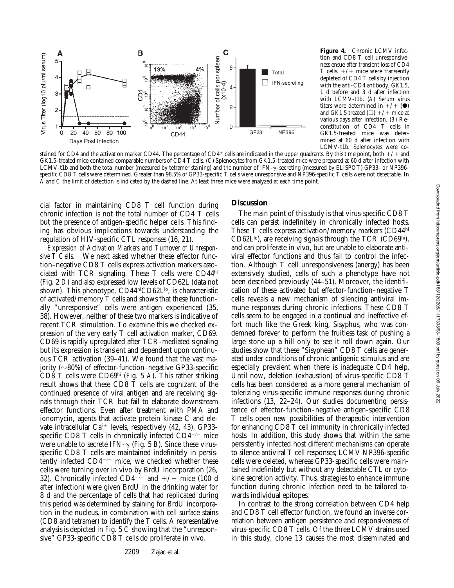

**Figure 4.** Chronic LCMV infection and CD8 T cell unresponsiveness ensue after transient loss of CD4 T cells.  $+/+$  mice were transiently depleted of CD4 T cells by injection with the anti-CD4 antibody, GK1.5, 1 d before and 3 d after infection with LCMV-t1b. (*A*) Serum virus titers were determined in  $+/+$  ( $\bullet$ ) and GK1.5 treated  $(\square)$  +/+ mice at various days after infection. (*B*) Reconstitution of CD4 T cells in GK1.5-treated mice was determined at 60 d after infection with LCMV-t1b. Splenocytes were co-

stained for CD4 and the activation marker CD44. The percentage of CD4<sup>+</sup> cells are indicated in the upper quadrants. By this time point, both  $+/+$  and GK1.5-treated mice contained comparable numbers of CD4 T cells. (*C*) Splenocytes from GK1.5-treated mice were prepared at 60 d after infection with LCMV-t1b and both the total number (measured by tetramer staining) and the number of IFN- $\gamma$ -secreting (measured by ELISPOT) GP33- or NP396specific CD8 T cells were determined. Greater than 98.5% of GP33-specific T cells were unresponsive and NP396-specific T cells were not detectable. In *A* and *C* the limit of detection is indicated by the dashed line. At least three mice were analyzed at each time point.

cial factor in maintaining CD8 T cell function during chronic infection is not the total number of CD4 T cells but the presence of antigen-specific helper cells. This finding has obvious implications towards understanding the regulation of HIV-specific CTL responses (16, 21).

*Expression of Activation Markers and Turnover of Unresponsive T Cells.* We next asked whether these effector function–negative CD8 T cells express activation markers associated with TCR signaling. These T cells were CD44hi (Fig. 2 *D*) and also expressed low levels of CD62L (data not shown). This phenotype,  $CD44<sup>hi</sup>CD62<sup>lo</sup>$ , is characteristic of activated/memory T cells and shows that these functionally "unresponsive" cells were antigen experienced (35, 38). However, neither of these two markers is indicative of recent TCR stimulation. To examine this we checked expression of the very early T cell activation marker, CD69. CD69 is rapidly upregulated after TCR-mediated signaling but its expression is transient and dependent upon continuous TCR activation (39–41). We found that the vast majority  $(\sim80\%)$  of effector-function–negative GP33-specific CD8 T cells were CD69hi (Fig. 5 *A*). This rather striking result shows that these CD8 T cells are cognizant of the continued presence of viral antigen and are receiving signals through their TCR but fail to elaborate downstream effector functions. Even after treatment with PMA and ionomycin, agents that activate protein kinase C and elevate intracellular  $Ca^{2+}$  levels, respectively (42, 43), GP33specific CD8 T cells in chronically infected  $CD4^{-/-}$  mice were unable to secrete IFN- $\gamma$  (Fig. 5 *B*). Since these virusspecific CD8 T cells are maintained indefinitely in persistently infected  $CD4^{-/-}$  mice, we checked whether these cells were turning over in vivo by BrdU incorporation (26, 32). Chronically infected CD4<sup>-/-</sup> and  $+/+$  mice (100 d after infection) were given BrdU in the drinking water for 8 d and the percentage of cells that had replicated during this period was determined by staining for BrdU incorporation in the nucleus, in combination with cell surface stains (CD8 and tetramer) to identify the T cells. A representative analysis is depicted in Fig. 5 *C* showing that the "unresponsive" GP33-specific CD8 T cells do proliferate in vivo.

## **Discussion**

The main point of this study is that virus-specific CD8 T cells can persist indefinitely in chronically infected hosts. These T cells express activation/memory markers (CD44hi  $CD62L^{lo}$ ), are receiving signals through the TCR (CD69<sup>hi</sup>), and can proliferate in vivo, but are unable to elaborate antiviral effector functions and thus fail to control the infection. Although T cell unresponsiveness (anergy) has been extensively studied, cells of such a phenotype have not been described previously (44–51). Moreover, the identification of these activated but effector-function–negative T cells reveals a new mechanism of silencing antiviral immune responses during chronic infections. These CD8 T cells seem to be engaged in a continual and ineffective effort much like the Greek king, Sisyphus, who was condemned forever to perform the fruitless task of pushing a large stone up a hill only to see it roll down again. Our studies show that these "Sisyphean" CD8 T cells are generated under conditions of chronic antigenic stimulus and are especially prevalent when there is inadequate CD4 help. Until now, deletion (exhaustion) of virus-specific CD8 T cells has been considered as a more general mechanism of tolerizing virus-specific immune responses during chronic infections (13, 22–24). Our studies documenting persistence of effector-function–negative antigen-specific CD8 T cells open new possibilities of therapeutic intervention for enhancing CD8 T cell immunity in chronically infected hosts. In addition, this study shows that within the same persistently infected host different mechanisms can operate to silence antiviral T cell responses; LCMV NP396-specific cells were deleted, whereas GP33-specific cells were maintained indefinitely but without any detectable CTL or cytokine secretion activity. Thus, strategies to enhance immune function during chronic infection need to be tailored towards individual epitopes.

In contrast to the strong correlation between CD4 help and CD8 T cell effector function, we found an inverse correlation between antigen persistence and responsiveness of virus-specific CD8 T cells. Of the three LCMV strains used in this study, clone 13 causes the most disseminated and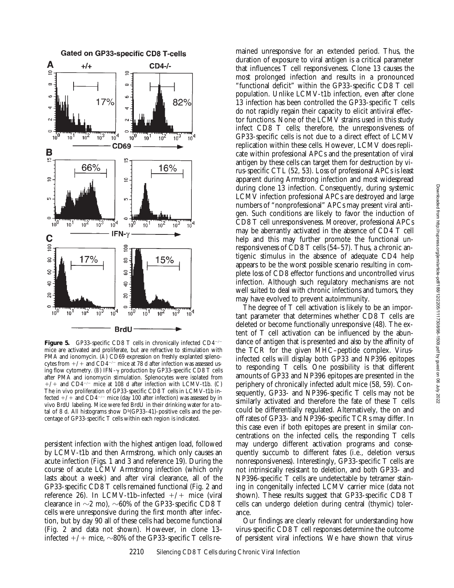

**Figure 5.** GP33-specific CD8 T cells in chronically infected  $CD4^{-/-}$ mice are activated and proliferate, but are refractive to stimulation with PMA and ionomycin. (A) CD69 expression on freshly explanted splenocytes from  $+/+$  and CD4<sup>-/-</sup> mice at 78 d after infection was assessed using flow cytometry. (*B*) IFN- $\gamma$  production by GP33-specific CD8 T cells after PMA and ionomycin stimulation. Splenocytes were isolated from  $+/+$  and CD4<sup> $-/-$ </sup> mice at 108 d after infection with LCMV-t1b. (*C*) The in vivo proliferation of GP33-specific CD8 T cells in LCMV-t1b infected  $+/+$  and CD4<sup>-/-</sup> mice (day 100 after infection) was assessed by in vivo BrdU labeling. Mice were fed BrdU in their drinking water for a total of 8 d. All histograms show  $D<sup>b</sup>(GP33–41)$ -positive cells and the percentage of GP33-specific T cells within each region is indicated.

persistent infection with the highest antigen load, followed by LCMV-t1b and then Armstrong, which only causes an acute infection (Figs. 1 and 3 and reference 19). During the course of acute LCMV Armstrong infection (which only lasts about a week) and after viral clearance, all of the GP33-specific CD8 T cells remained functional (Fig. 2 and reference 26). In LCMV-t1b-infected  $+/+$  mice (viral clearance in  $\sim$ 2 mo),  $\sim$ 60% of the GP33-specific CD8 T cells were unresponsive during the first month after infection, but by day 90 all of these cells had become functional (Fig. 2 and data not shown). However, in clone 13– infected  $+/+$  mice,  $\sim$ 80% of the GP33-specific T cells re-

mained unresponsive for an extended period. Thus, the duration of exposure to viral antigen is a critical parameter that influences T cell responsiveness. Clone 13 causes the most prolonged infection and results in a pronounced "functional deficit" within the GP33-specific CD8 T cell population. Unlike LCMV-t1b infection, even after clone 13 infection has been controlled the GP33-specific T cells do not rapidly regain their capacity to elicit antiviral effector functions. None of the LCMV strains used in this study infect CD8 T cells; therefore, the unresponsiveness of GP33-specific cells is not due to a direct effect of LCMV replication within these cells. However, LCMV does replicate within professional APCs and the presentation of viral antigen by these cells can target them for destruction by virus-specific CTL (52, 53). Loss of professional APCs is least apparent during Armstrong infection and most widespread during clone 13 infection. Consequently, during systemic LCMV infection professional APCs are destroyed and large numbers of "nonprofessional" APCs may present viral antigen. Such conditions are likely to favor the induction of CD8 T cell unresponsiveness. Moreover, professional APCs may be aberrantly activated in the absence of CD4 T cell help and this may further promote the functional unresponsiveness of CD8 T cells (54–57). Thus, a chronic antigenic stimulus in the absence of adequate CD4 help appears to be the worst possible scenario resulting in complete loss of CD8 effector functions and uncontrolled virus infection. Although such regulatory mechanisms are not well suited to deal with chronic infections and tumors, they may have evolved to prevent autoimmunity.

The degree of T cell activation is likely to be an important parameter that determines whether CD8 T cells are deleted or become functionally unresponsive (48). The extent of T cell activation can be influenced by the abundance of antigen that is presented and also by the affinity of the TCR for the given MHC–peptide complex. Virusinfected cells will display both GP33 and NP396 epitopes to responding T cells. One possibility is that different amounts of GP33 and NP396 epitopes are presented in the periphery of chronically infected adult mice (58, 59). Consequently, GP33- and NP396-specific T cells may not be similarly activated and therefore the fate of these T cells could be differentially regulated. Alternatively, the on and off rates of GP33- and NP396-specific TCRs may differ. In this case even if both epitopes are present in similar concentrations on the infected cells, the responding T cells may undergo different activation programs and consequently succumb to different fates (i.e., deletion versus nonresponsiveness). Interestingly, GP33-specific T cells are not intrinsically resistant to deletion, and both GP33- and NP396-specific T cells are undetectable by tetramer staining in congenitally infected LCMV carrier mice (data not shown). These results suggest that GP33-specific CD8 T cells can undergo deletion during central (thymic) tolerance.

Our findings are clearly relevant for understanding how virus-specific CD8 T cell responses determine the outcome of persistent viral infections. We have shown that virus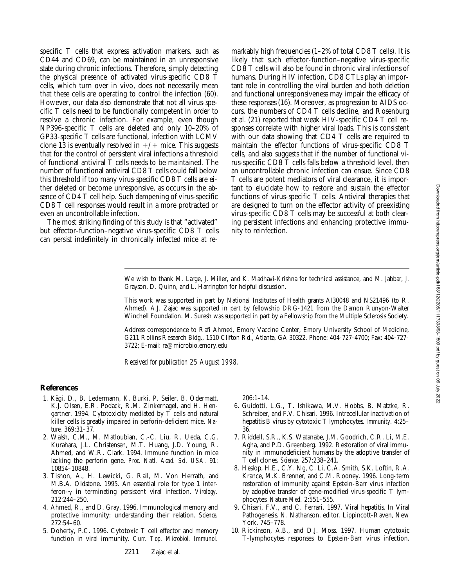specific T cells that express activation markers, such as CD44 and CD69, can be maintained in an unresponsive state during chronic infections. Therefore, simply detecting the physical presence of activated virus-specific CD8 T cells, which turn over in vivo, does not necessarily mean that these cells are operating to control the infection (60). However, our data also demonstrate that not all virus-specific T cells need to be functionally competent in order to resolve a chronic infection. For example, even though NP396-specific T cells are deleted and only 10–20% of GP33-specific T cells are functional, infection with LCMV clone 13 is eventually resolved in  $+/+$  mice. This suggests that for the control of persistent viral infections a threshold of functional antiviral T cells needs to be maintained. The number of functional antiviral CD8 T cells could fall below this threshold if too many virus-specific CD8 T cells are either deleted or become unresponsive, as occurs in the absence of CD4 T cell help. Such dampening of virus-specific CD8 T cell responses would result in a more protracted or even an uncontrollable infection.

The most striking finding of this study is that "activated" but effector-function–negative virus-specific CD8 T cells can persist indefinitely in chronically infected mice at remarkably high frequencies (1–2% of total CD8 T cells). It is likely that such effector-function–negative virus-specific CD8 T cells will also be found in chronic viral infections of humans. During HIV infection, CD8 CTLs play an important role in controlling the viral burden and both deletion and functional unresponsiveness may impair the efficacy of these responses (16). Moreover, as progression to AIDS occurs, the numbers of CD4 T cells decline, and Rosenburg et al. (21) reported that weak HIV-specific CD4 T cell responses correlate with higher viral loads. This is consistent with our data showing that CD4 T cells are required to maintain the effector functions of virus-specific CD8 T cells, and also suggests that if the number of functional virus-specific CD8 T cells falls below a threshold level, then an uncontrollable chronic infection can ensue. Since CD8 T cells are potent mediators of viral clearance, it is important to elucidate how to restore and sustain the effector functions of virus-specific T cells. Antiviral therapies that are designed to turn on the effector activity of preexisting virus-specific CD8 T cells may be successful at both clearing persistent infections and enhancing protective immunity to reinfection.

We wish to thank M. Large, J. Miller, and K. Madhavi-Krishna for technical assistance, and M. Jabbar, J. Grayson, D. Quinn, and L. Harrington for helpful discussion.

This work was supported in part by National Institutes of Health grants AI30048 and NS21496 (to R. Ahmed). A.J. Zajac was supported in part by fellowship DRG-1421 from the Damon Runyon-Walter Winchell Foundation. M. Suresh was supported in part by a Fellowship from the Multiple Sclerosis Society.

Address correspondence to Rafi Ahmed, Emory Vaccine Center, Emory University School of Medicine, G211 Rollins Research Bldg., 1510 Clifton Rd., Atlanta, GA 30322. Phone: 404-727-4700; Fax: 404-727- 3722; E-mail: ra@microbio.emory.edu

*Received for publication 25 August 1998.*

### **References**

- 1. Kägi, D., B. Ledermann, K. Burki, P. Seiler, B. Odermatt, K.J. Olsen, E.R. Podack, R.M. Zinkernagel, and H. Hengartner. 1994. Cytotoxicity mediated by T cells and natural killer cells is greatly impaired in perforin-deficient mice. *Nature.* 369:31–37.
- 2. Walsh, C.M., M. Matloubian, C.-C. Liu, R. Ueda, C.G. Kurahara, J.L. Christensen, M.T. Huang, J.D. Young, R. Ahmed, and W.R. Clark. 1994. Immune function in mice lacking the perforin gene. *Proc. Natl. Acad. Sci. USA.* 91: 10854–10848.
- 3. Tishon, A., H. Lewicki, G. Rall, M. Von Herrath, and M.B.A. Oldstone. 1995. An essential role for type 1 interferon-g in terminating persistent viral infection. *Virology.* 212:244–250.
- 4. Ahmed, R., and D. Gray. 1996. Immunological memory and protective immunity: understanding their relation. *Science.* 272:54–60.
- 5. Doherty, P.C. 1996. Cytotoxic T cell effector and memory function in viral immunity*. Curr. Top. Microbiol. Immunol.*

206:1–14.

- 6. Guidotti, L.G., T. Ishikawa, M.V. Hobbs, B. Matzke, R. Schreiber, and F.V. Chisari. 1996. Intracellular inactivation of hepatitis B virus by cytotoxic T lymphocytes. *Immunity.* 4:25– 36.
- 7. Riddell, S.R., K.S. Watanabe, J.M. Goodrich, C.R. Li, M.E. Agha, and P.D. Greenberg. 1992. Restoration of viral immunity in immunodeficient humans by the adoptive transfer of T cell clones. *Science.* 257:238–241.
- 8. Heslop, H.E., C.Y. Ng, C. Li, C.A. Smith, S.K. Loftin, R.A. Krance, M.K. Brenner, and C.M. Rooney. 1996. Long-term restoration of immunity against Epstein-Barr virus infection by adoptive transfer of gene-modified virus-specific T lymphocytes. *Nature Med.* 2:551–555.
- 9. Chisari, F.V., and C. Ferrari. 1997. Viral hepatitis. *In* Viral Pathogenesis. N. Nathanson, editor. Lippincott-Raven, New York. 745–778.
- 10. Rickinson, A.B., and D.J. Moss. 1997. Human cytotoxic T-lymphocytes responses to Epstein-Barr virus infection.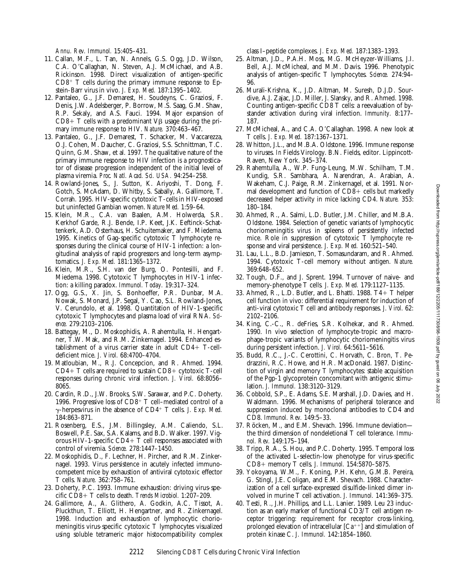*Annu. Rev. Immunol.* 15:405–431.

- 11. Callan, M.F., L. Tan, N. Annels, G.S. Ogg, J.D. Wilson, C.A. O'Callaghan, N. Steven, A.J. McMichael, and A.B. Rickinson. 1998. Direct visualization of antigen-specific  $CD8^+$  T cells during the primary immune response to Epstein-Barr virus in vivo. *J. Exp. Med.* 187:1395–1402.
- 12. Pantaleo, G., J.F. Demarest, H. Soudeyns, C. Graziosi, F. Denis, J.W. Adelsberger, P. Borrow, M.S. Saag, G.M. Shaw, R.P. Sekaly, and A.S. Fauci. 1994. Major expansion of  $CD8+T$  cells with a predominant V $\beta$  usage during the primary immune response to HIV. *Nature.* 370:463–467.
- 13. Pantaleo, G., J.F. Demarest, T. Schacker, M. Vaccarezza, O.J. Cohen, M. Daucher, C. Graziosi, S.S. Schnittman, T.C. Quinn, G.M. Shaw, et al. 1997. The qualitative nature of the primary immune response to HIV infection is a prognosticator of disease progression independent of the initial level of plasma viremia. *Proc. Natl. Acad. Sci. USA.* 94:254–258.
- 14. Rowland-Jones, S., J. Sutton, K. Ariyoshi, T. Dong, F. Gotch, S. McAdam, D. Whitby, S. Sabally, A. Gallimore, T. Corrah. 1995. HIV-specific cytotoxic T-cells in HIV-exposed but uninfected Gambian women. *Nature Med.* 1:59–64.
- 15. Klein, M.R., C.A. van Baalen, A.M. Holwerda, S.R. Kerkhof Garde, R.J. Bende, I.P. Keet, J.K. Eeftinck-Schattenkerk, A.D. Osterhaus, H. Schuitemaker, and F. Miedema. 1995. Kinetics of Gag-specific cytotoxic T lymphocyte responses during the clinical course of HIV-1 infection: a longitudinal analysis of rapid progressors and long-term asymptomatics. *J. Exp. Med.* 181:1365–1372.
- 16. Klein, M.R., S.H. van der Burg, O. Pontesilli, and F. Miedema. 1998. Cytotoxic T lymphocytes in HIV-1 infection: a killing paradox. *Immunol. Today.* 19:317–324.
- 17. Ogg, G.S., X. Jin, S. Bonhoeffer, P.R. Dunbar, M.A. Nowak, S. Monard, J.P. Segal, Y. Cao, S.L. Rowland-Jones, V. Cerundolo, et al. 1998. Quantitation of HIV-1-specific cytotoxic T lymphocytes and plasma load of viral RNA. *Science.* 279:2103–2106.
- 18. Battegay, M., D. Moskophidis, A. Rahemtulla, H. Hengartner, T.W. Mak, and R.M. Zinkernagel. 1994. Enhanced establishment of a virus carrier state in adult  $CD4+T-cell$ deficient mice. *J. Virol.* 68:4700–4704.
- 19. Matloubian, M., R.J. Concepcion, and R. Ahmed. 1994.  $CD4+T$  cells are required to sustain  $CD8+$  cytotoxic T-cell responses during chronic viral infection. *J. Virol.* 68:8056– 8065.
- 20. Cardin, R.D., J.W. Brooks, S.W. Sarawar, and P.C. Doherty. 1996. Progressive loss of  $CD8<sup>+</sup>$  T cell–mediated control of a  $\gamma$ -herpesvirus in the absence of CD4<sup>+</sup> T cells. *J. Exp. Med.* 184:863–871.
- 21. Rosenberg, E.S., J.M. Billingsley, A.M. Caliendo, S.L. Boswell, P.E. Sax, S.A. Kalams, and B.D. Walker. 1997. Vigorous HIV-1-specific  $CD4+T$  cell responses associated with control of viremia. *Science.* 278:1447–1450.
- 22. Moskophidis, D., F. Lechner, H. Pircher, and R.M. Zinkernagel. 1993. Virus persistence in acutely infected immunocompetent mice by exhaustion of antiviral cytotoxic effector T cells. *Nature.* 362:758–761.
- 23. Doherty, P.C. 1993. Immune exhaustion: driving virus-specific CD81 T cells to death. *Trends Microbiol.* 1:207–209.
- 24. Gallimore, A., A. Glithero, A. Godkin, A.C. Tissot, A. Pluckthun, T. Elliott, H. Hengartner, and R. Zinkernagel. 1998. Induction and exhaustion of lymphocytic choriomeningitis virus-specific cytotoxic T lymphocytes visualized using soluble tetrameric major histocompatibility complex

class I–peptide complexes. *J. Exp. Med.* 187:1383–1393.

- 25. Altman, J.D., P.A.H. Moss, M.G. McHeyzer-Williams, J.I. Bell, A.J. McMicheal, and M.M. Davis. 1996. Phenotypic analysis of antigen-specific T lymphocytes. *Science.* 274:94– 96.
- 26. Murali-Krishna, K., J.D. Altman, M. Suresh, D.J.D. Sourdive, A.J. Zajac, J.D. Miller, J. Slansky, and R. Ahmed. 1998. Counting antigen-specific CD8 T cells: a reevaluation of bystander activation during viral infection. *Immunity.* 8:177– 187.
- 27. McMicheal, A., and C.A. O'Callaghan. 1998. A new look at T cells. *J. Exp. Med.* 187:1367–1371.
- 28. Whitton, J.L., and M.B.A. Oldstone. 1996. Immune response to viruses. *In* Fields Virology. B.N. Fields, editor. Lippincott-Raven, New York. 345–374.
- 29. Rahemtulla, A., W.P. Fung-Leung, M.W. Schilham, T.M. Kundig, S.R. Sambhara, A. Narendran, A. Arabian, A. Wakeham, C.J. Paige, R.M. Zinkernagel, et al. 1991. Normal development and function of  $CD8+$  cells but markedly decreased helper activity in mice lacking CD4. *Nature.* 353: 180–184.
- 30. Ahmed, R., A. Salmi, L.D. Butler, J.M. Chiller, and M.B.A. Oldstone. 1984. Selection of genetic variants of lymphocytic choriomeningitis virus in spleens of persistently infected mice. Role in suppression of cytotoxic T lymphocyte response and viral persistence. *J. Exp. Med.* 160:521–540.
- 31. Lau, L.L., B.D. Jamieson, T. Somasundaram, and R. Ahmed. 1994. Cytotoxic T-cell memory without antigen. *Nature.* 369:648–652.
- 32. Tough, D.F., and J. Sprent. 1994. Turnover of naive- and memory-phenotype T cells*. J. Exp. Med.* 179:1127–1135.
- 33. Ahmed, R., L.D. Butler, and L. Bhatti. 1988.  $T4+T$  helper cell function in vivo: differential requirement for induction of anti-viral cytotoxic T cell and antibody responses. *J. Virol.* 62: 2102–2106.
- 34. King, C.-C., R. deFries, S.R. Kolhekar, and R. Ahmed. 1990. In vivo selection of lymphocyte-tropic and macrophage-tropic variants of lymphocytic choriomeningitis virus during persistent infection. *J. Virol.* 64:5611–5616.
- 35. Budd, R.C., J.-C. Cerottini, C. Horvath, C. Bron, T. Pedrazzini, R.C. Howe, and H.R. MacDonald. 1987. Distinction of virgin and memory T lymphocytes: stable acquisition of the Pgp-1 glycoprotein concomitant with antigenic stimulation. *J. Immunol.* 138:3120–3129.
- 36. Cobbold, S.P., E. Adams, S.E. Marshall, J.D. Davies, and H. Waldmann. 1996. Mechanisms of peripheral tolerance and suppression induced by monoclonal antibodies to CD4 and CD8. *Immunol. Rev.* 149:5–33.
- 37. Röcken, M., and E.M. Shevach. 1996. Immune deviation the third dimension of nondeletional T cell tolerance. *Immunol. Rev.* 149:175–194.
- 38. Tripp, R.A., S. Hou, and P.C. Doherty. 1995. Temporal loss of the activated L-selectin-low phenotype for virus-specific CD81 memory T cells. *J. Immunol.* 154:5870–5875.
- 39. Yokoyama, W.M., F. Koning, P.H. Kehn, G.M.B. Pereira, G. Stingl, J.E. Coligan, and E.M. Shevach. 1988. Characterization of a cell surface-expressed disulfide-linked dimer involved in murine T cell activation. *J. Immunol.* 141:369–375.
- 40. Testi, R., J.H. Phillips, and L.L. Lanier. 1989. Leu 23 induction as an early marker of functional CD3/T cell antigen receptor triggering: requirement for receptor cross-linking, prolonged elevation of intracellular  $[Ca^{++}]$  and stimulation of protein kinase C. *J. Immunol.* 142:1854–1860.